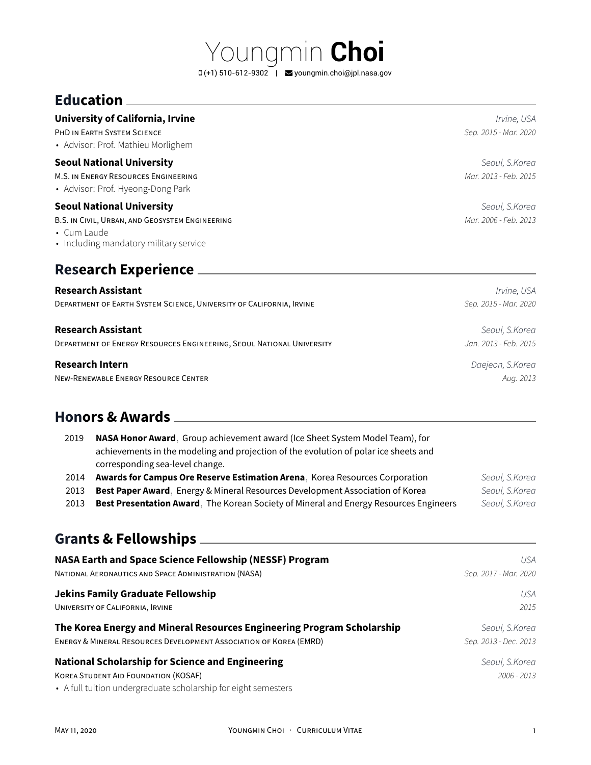Youngmin **Choi**  $\Box$  (+1) 510-612-9302 | S[youngmin.choi@jpl.nasa.gov](mailto:youngmin.choi@jpl.nasa.gov)

## **Education**

#### **University of California, Irvine** *Irvine, USA*

PHD IN EARTH SYSTEM SCIENCE *Sep. 2015 - Mar. 2020*

• Advisor: Prof. Mathieu Morlighem

#### **Seoul National University** *Seoul, S.Korea*

M.S. IN ENERGY RESOURCES ENGINEERING *Mar. 2013 - Feb. 2015*

• Advisor: Prof. Hyeong-Dong Park

#### **Seoul National University** *Seoul, S.Korea*

B.S. IN CIVIL, URBAN, AND GEOSYSTEM ENGINEERING *Mar. 2006 - Feb. 2013*

- Cum Laude
- Including mandatory military service

## **Research Experience**

## **Research Assistant** *Irvine, USA* DEPARTMENT OF EARTH SYSTEM SCIENCE, UNIVERSITY OF CALIFORNIA, IRVINE *Sep. 2015 - Mar. 2020* **Research Assistant** *Seoul, S.Korea*

DEPARTMENT OF ENERGY RESOURCES ENGINEERING, SEOUL NATIONAL UNIVERSITY *Jan. 2013 - Feb. 2015*

#### **Research Intern** *Daejeon, S.Korea*

NEW-RENEWABLE ENERGY RESOURCE CENTER *Aug. 2013*

### **Honors & Awards**

| 2019 | NASA Honor Award, Group achievement award (Ice Sheet System Model Team), for<br>achievements in the modeling and projection of the evolution of polar ice sheets and<br>corresponding sea-level change. |                |
|------|---------------------------------------------------------------------------------------------------------------------------------------------------------------------------------------------------------|----------------|
| 2014 | Awards for Campus Ore Reserve Estimation Arena, Korea Resources Corporation                                                                                                                             | Seoul, S.Korea |
| 2013 | <b>Best Paper Award</b> , Energy & Mineral Resources Development Association of Korea                                                                                                                   | Seoul, S.Korea |
| 2013 | Best Presentation Award, The Korean Society of Mineral and Energy Resources Engineers                                                                                                                   | Seoul, S.Korea |

## **Grants & Fellowships**

| NASA Earth and Space Science Fellowship (NESSF) Program                                                                                                                  | USA                             |
|--------------------------------------------------------------------------------------------------------------------------------------------------------------------------|---------------------------------|
| NATIONAL AERONAUTICS AND SPACE ADMINISTRATION (NASA)                                                                                                                     | Sep. 2017 - Mar. 2020           |
| Jekins Family Graduate Fellowship                                                                                                                                        | USA                             |
| UNIVERSITY OF CALIFORNIA, IRVINE                                                                                                                                         | 2015                            |
| The Korea Energy and Mineral Resources Engineering Program Scholarship                                                                                                   | Seoul, S.Korea                  |
| ENERGY & MINERAL RESOURCES DEVELOPMENT ASSOCIATION OF KOREA (EMRD)                                                                                                       | Sep. 2013 - Dec. 2013           |
| <b>National Scholarship for Science and Engineering</b><br><b>KOREA STUDENT AID FOUNDATION (KOSAF)</b><br>• A full tuition undergraduate scholarship for eight semesters | Seoul, S.Korea<br>$2006 - 2013$ |